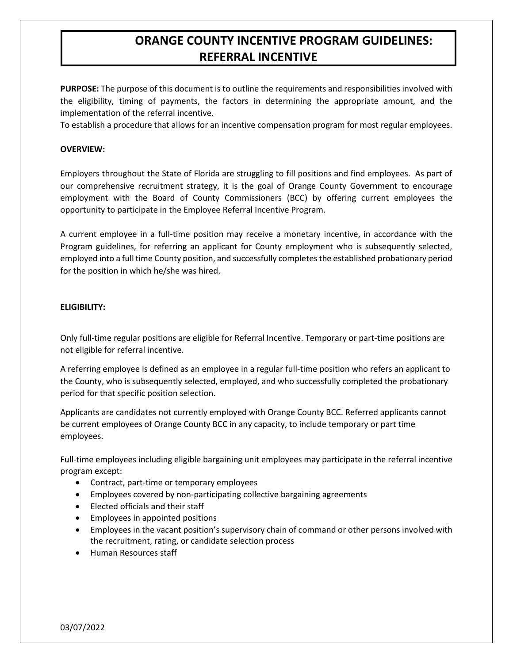## **ORANGE COUNTY INCENTIVE PROGRAM GUIDELINES: REFERRAL INCENTIVE**

**PURPOSE:** The purpose of this document is to outline the requirements and responsibilities involved with the eligibility, timing of payments, the factors in determining the appropriate amount, and the implementation of the referral incentive.

To establish a procedure that allows for an incentive compensation program for most regular employees.

### **OVERVIEW:**

Employers throughout the State of Florida are struggling to fill positions and find employees. As part of our comprehensive recruitment strategy, it is the goal of Orange County Government to encourage employment with the Board of County Commissioners (BCC) by offering current employees the opportunity to participate in the Employee Referral Incentive Program.

A current employee in a full-time position may receive a monetary incentive, in accordance with the Program guidelines, for referring an applicant for County employment who is subsequently selected, employed into a full time County position, and successfully completes the established probationary period for the position in which he/she was hired.

### **ELIGIBILITY:**

Only full-time regular positions are eligible for Referral Incentive. Temporary or part-time positions are not eligible for referral incentive.

A referring employee is defined as an employee in a regular full-time position who refers an applicant to the County, who is subsequently selected, employed, and who successfully completed the probationary period for that specific position selection.

Applicants are candidates not currently employed with Orange County BCC. Referred applicants cannot be current employees of Orange County BCC in any capacity, to include temporary or part time employees.

Full-time employees including eligible bargaining unit employees may participate in the referral incentive program except:

- Contract, part-time or temporary employees
- Employees covered by non-participating collective bargaining agreements
- Elected officials and their staff
- Employees in appointed positions
- Employees in the vacant position's supervisory chain of command or other persons involved with the recruitment, rating, or candidate selection process
- Human Resources staff